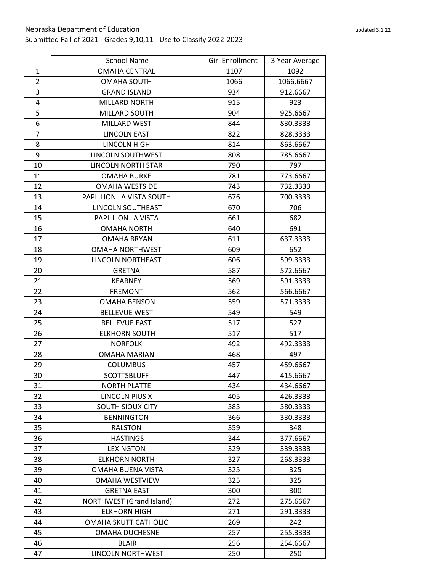|                | <b>School Name</b>        | <b>Girl Enrollment</b> | 3 Year Average |
|----------------|---------------------------|------------------------|----------------|
| $\mathbf{1}$   | <b>OMAHA CENTRAL</b>      | 1107                   | 1092           |
| $\overline{2}$ | <b>OMAHA SOUTH</b>        | 1066                   | 1066.6667      |
| 3              | <b>GRAND ISLAND</b>       | 934                    | 912.6667       |
| 4              | <b>MILLARD NORTH</b>      | 915                    | 923            |
| 5              | MILLARD SOUTH             | 904                    | 925.6667       |
| 6              | <b>MILLARD WEST</b>       | 844                    | 830.3333       |
| $\overline{7}$ | <b>LINCOLN EAST</b>       | 822                    | 828.3333       |
| 8              | LINCOLN HIGH              | 814                    | 863.6667       |
| 9              | <b>LINCOLN SOUTHWEST</b>  | 808                    | 785.6667       |
| 10             | <b>LINCOLN NORTH STAR</b> | 790                    | 797            |
| 11             | <b>OMAHA BURKE</b>        | 781                    | 773.6667       |
| 12             | <b>OMAHA WESTSIDE</b>     | 743                    | 732.3333       |
| 13             | PAPILLION LA VISTA SOUTH  | 676                    | 700.3333       |
| 14             | LINCOLN SOUTHEAST         | 670                    | 706            |
| 15             | PAPILLION LA VISTA        | 661                    | 682            |
| 16             | <b>OMAHA NORTH</b>        | 640                    | 691            |
| 17             | <b>OMAHA BRYAN</b>        | 611                    | 637.3333       |
| 18             | <b>OMAHA NORTHWEST</b>    | 609                    | 652            |
| 19             | LINCOLN NORTHEAST         | 606                    | 599.3333       |
| 20             | <b>GRETNA</b>             | 587                    | 572.6667       |
| 21             | <b>KEARNEY</b>            | 569                    | 591.3333       |
| 22             | <b>FREMONT</b>            | 562                    | 566.6667       |
| 23             | <b>OMAHA BENSON</b>       | 559                    | 571.3333       |
| 24             | <b>BELLEVUE WEST</b>      | 549                    | 549            |
| 25             | <b>BELLEVUE EAST</b>      | 517                    | 527            |
| 26             | <b>ELKHORN SOUTH</b>      | 517                    | 517            |
| 27             | <b>NORFOLK</b>            | 492                    | 492.3333       |
| 28             | <b>OMAHA MARIAN</b>       | 468                    | 497            |
| 29             | <b>COLUMBUS</b>           | 457                    | 459.6667       |
| 30             | <b>SCOTTSBLUFF</b>        | 447                    | 415.6667       |
| 31             | <b>NORTH PLATTE</b>       | 434                    | 434.6667       |
| 32             | LINCOLN PIUS X            | 405                    | 426.3333       |
| 33             | SOUTH SIOUX CITY          | 383                    | 380.3333       |
| 34             | <b>BENNINGTON</b>         | 366                    | 330.3333       |
| 35             | <b>RALSTON</b>            | 359                    | 348            |
| 36             | <b>HASTINGS</b>           | 344                    | 377.6667       |
| 37             | <b>LEXINGTON</b>          | 329                    | 339.3333       |
| 38             | <b>ELKHORN NORTH</b>      | 327                    | 268.3333       |
| 39             | OMAHA BUENA VISTA         | 325                    | 325            |
| 40             | <b>OMAHA WESTVIEW</b>     | 325                    | 325            |
| 41             | <b>GRETNA EAST</b>        | 300                    | 300            |

42 | NORTHWEST (Grand Island) 272 | 275.6667 43 | ELKHORN HIGH | 271 | 291.3333 44 | OMAHA SKUTT CATHOLIC | 269 | 242 45 | OMAHA DUCHESNE | 257 | 255.3333 BLAIR 256 254.6667 47 | LINCOLN NORTHWEST | 250 | 250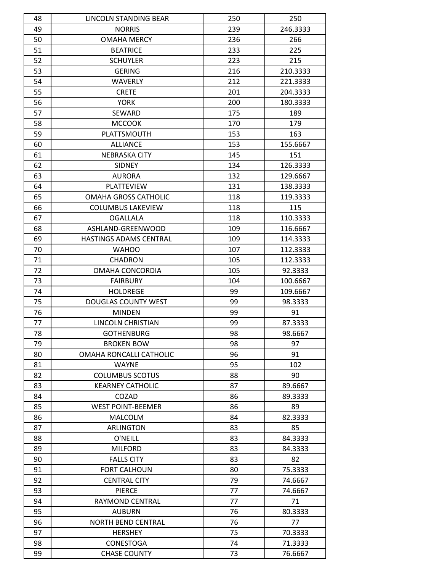| 48 | LINCOLN STANDING BEAR       | 250      | 250      |
|----|-----------------------------|----------|----------|
| 49 | <b>NORRIS</b>               | 239      | 246.3333 |
| 50 | <b>OMAHA MERCY</b>          | 236      | 266      |
| 51 | <b>BEATRICE</b>             | 233      | 225      |
| 52 | <b>SCHUYLER</b>             | 223      | 215      |
| 53 | <b>GERING</b>               | 216      | 210.3333 |
| 54 | <b>WAVERLY</b>              | 212      | 221.3333 |
| 55 | <b>CRETE</b>                | 201      | 204.3333 |
| 56 | <b>YORK</b>                 | 200      | 180.3333 |
| 57 | SEWARD                      | 175      | 189      |
| 58 | <b>MCCOOK</b>               | 170      | 179      |
| 59 | PLATTSMOUTH                 | 153      | 163      |
| 60 | <b>ALLIANCE</b>             | 153      | 155.6667 |
| 61 | <b>NEBRASKA CITY</b>        | 145      | 151      |
| 62 | <b>SIDNEY</b>               | 134      | 126.3333 |
| 63 | <b>AURORA</b>               | 132      | 129.6667 |
| 64 | <b>PLATTEVIEW</b>           | 131      | 138.3333 |
| 65 | <b>OMAHA GROSS CATHOLIC</b> | 118      | 119.3333 |
| 66 | <b>COLUMBUS LAKEVIEW</b>    | 118      | 115      |
| 67 | <b>OGALLALA</b>             | 118      | 110.3333 |
| 68 | ASHLAND-GREENWOOD           | 109      | 116.6667 |
| 69 | HASTINGS ADAMS CENTRAL      | 109      | 114.3333 |
| 70 | <b>WAHOO</b>                | 107      | 112.3333 |
| 71 | <b>CHADRON</b>              | 105      | 112.3333 |
| 72 | OMAHA CONCORDIA             | 105      | 92.3333  |
| 73 | <b>FAIRBURY</b>             | 104      | 100.6667 |
| 74 | <b>HOLDREGE</b>             | 99       | 109.6667 |
| 75 | <b>DOUGLAS COUNTY WEST</b>  | 99       | 98.3333  |
| 76 | <b>MINDEN</b>               | 99       | 91       |
| 77 | LINCOLN CHRISTIAN           | 99       | 87.3333  |
| 78 | <b>GOTHENBURG</b>           | 98       | 98.6667  |
| 79 | <b>BROKEN BOW</b>           | 98       | 97       |
| 80 | OMAHA RONCALLI CATHOLIC     | 96       | 91       |
| 81 | <b>WAYNE</b>                | 95       | 102      |
| 82 | <b>COLUMBUS SCOTUS</b>      | 88       | 90       |
|    |                             |          | 89.6667  |
| 83 | <b>KEARNEY CATHOLIC</b>     | 87<br>86 |          |
| 84 | COZAD                       |          | 89.3333  |
| 85 | <b>WEST POINT-BEEMER</b>    | 86       | 89       |
| 86 | <b>MALCOLM</b>              | 84       | 82.3333  |
| 87 | ARLINGTON                   | 83       | 85       |
| 88 | O'NEILL                     | 83       | 84.3333  |
| 89 | <b>MILFORD</b>              | 83       | 84.3333  |
| 90 | <b>FALLS CITY</b>           | 83       | 82       |
| 91 | <b>FORT CALHOUN</b>         | 80       | 75.3333  |
| 92 | <b>CENTRAL CITY</b>         | 79       | 74.6667  |
| 93 | <b>PIERCE</b>               | 77       | 74.6667  |
| 94 | RAYMOND CENTRAL             | 77       | 71       |
| 95 | <b>AUBURN</b>               | 76       | 80.3333  |
| 96 | <b>NORTH BEND CENTRAL</b>   | 76       | 77       |
| 97 | <b>HERSHEY</b>              | 75       | 70.3333  |
| 98 | CONESTOGA                   | 74       | 71.3333  |
| 99 | <b>CHASE COUNTY</b>         | 73       | 76.6667  |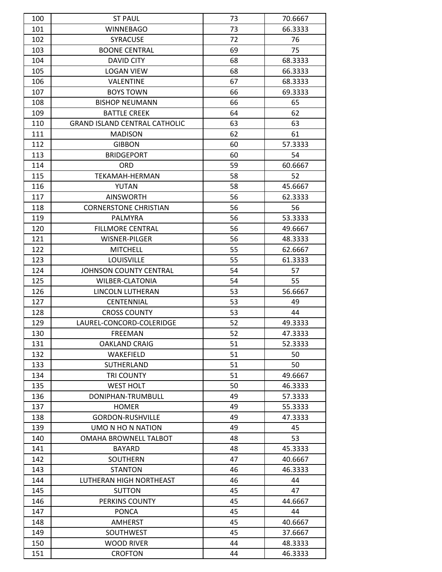| 100 |                                        |          |                    |
|-----|----------------------------------------|----------|--------------------|
| 101 | <b>ST PAUL</b><br><b>WINNEBAGO</b>     | 73<br>73 | 70.6667<br>66.3333 |
| 102 | <b>SYRACUSE</b>                        | 72       | 76                 |
| 103 | <b>BOONE CENTRAL</b>                   | 69       | 75                 |
|     |                                        |          |                    |
| 104 | <b>DAVID CITY</b><br><b>LOGAN VIEW</b> | 68       | 68.3333            |
| 105 |                                        | 68       | 66.3333            |
| 106 | VALENTINE                              | 67       | 68.3333            |
| 107 | <b>BOYS TOWN</b>                       | 66       | 69.3333            |
| 108 | <b>BISHOP NEUMANN</b>                  | 66       | 65                 |
| 109 | <b>BATTLE CREEK</b>                    | 64       | 62                 |
| 110 | <b>GRAND ISLAND CENTRAL CATHOLIC</b>   | 63       | 63                 |
| 111 | <b>MADISON</b>                         | 62       | 61                 |
| 112 | <b>GIBBON</b>                          | 60       | 57.3333            |
| 113 | <b>BRIDGEPORT</b>                      | 60       | 54                 |
| 114 | <b>ORD</b>                             | 59       | 60.6667            |
| 115 | TEKAMAH-HERMAN                         | 58       | 52                 |
| 116 | YUTAN                                  | 58       | 45.6667            |
| 117 | <b>AINSWORTH</b>                       | 56       | 62.3333            |
| 118 | <b>CORNERSTONE CHRISTIAN</b>           | 56       | 56                 |
| 119 | <b>PALMYRA</b>                         | 56       | 53.3333            |
| 120 | <b>FILLMORE CENTRAL</b>                | 56       | 49.6667            |
| 121 | WISNER-PILGER                          | 56       | 48.3333            |
| 122 | <b>MITCHELL</b>                        | 55       | 62.6667            |
| 123 | <b>LOUISVILLE</b>                      | 55       | 61.3333            |
| 124 | JOHNSON COUNTY CENTRAL                 | 54       | 57                 |
| 125 | WILBER-CLATONIA                        | 54       | 55                 |
| 126 | LINCOLN LUTHERAN                       | 53       | 56.6667            |
| 127 | <b>CENTENNIAL</b>                      | 53       | 49                 |
| 128 | <b>CROSS COUNTY</b>                    | 53       | 44                 |
| 129 | LAUREL-CONCORD-COLERIDGE               | 52       | 49.3333            |
| 130 | FREEMAN                                | 52       | 47.3333            |
| 131 | <b>OAKLAND CRAIG</b>                   | 51       | 52.3333            |
| 132 | WAKEFIELD                              | 51       | 50                 |
| 133 | SUTHERLAND                             | 51       | 50                 |
| 134 | <b>TRI COUNTY</b>                      | 51       | 49.6667            |
| 135 | <b>WEST HOLT</b>                       | 50       | 46.3333            |
| 136 | DONIPHAN-TRUMBULL                      | 49       | 57.3333            |
| 137 | <b>HOMER</b>                           | 49       | 55.3333            |
| 138 | <b>GORDON-RUSHVILLE</b>                | 49       | 47.3333            |
| 139 | UMO N HO N NATION                      | 49       | 45                 |
| 140 | OMAHA BROWNELL TALBOT                  | 48       | 53                 |
| 141 | <b>BAYARD</b>                          | 48       | 45.3333            |
| 142 | SOUTHERN                               | 47       | 40.6667            |
| 143 | <b>STANTON</b>                         | 46       | 46.3333            |
| 144 | LUTHERAN HIGH NORTHEAST                | 46       | 44                 |
| 145 | <b>SUTTON</b>                          | 45       | 47                 |
| 146 | PERKINS COUNTY                         | 45       | 44.6667            |
| 147 | <b>PONCA</b>                           | 45       | 44                 |
| 148 | <b>AMHERST</b>                         | 45       | 40.6667            |
| 149 | SOUTHWEST                              | 45       | 37.6667            |
| 150 | <b>WOOD RIVER</b>                      | 44       | 48.3333            |
| 151 | <b>CROFTON</b>                         | 44       | 46.3333            |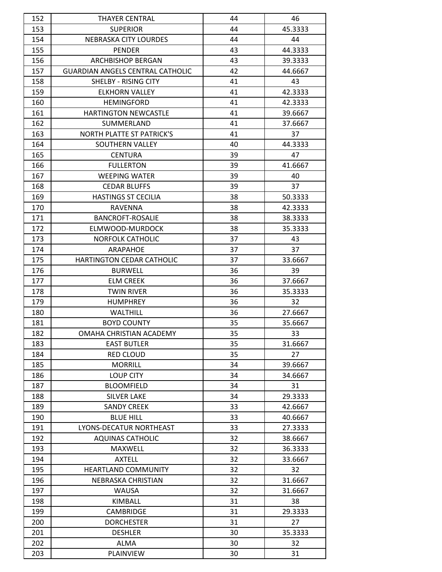| 152 | <b>THAYER CENTRAL</b>                   | 44 | 46      |
|-----|-----------------------------------------|----|---------|
| 153 | <b>SUPERIOR</b>                         | 44 | 45.3333 |
| 154 | <b>NEBRASKA CITY LOURDES</b>            | 44 | 44      |
| 155 | <b>PENDER</b>                           | 43 | 44.3333 |
| 156 | <b>ARCHBISHOP BERGAN</b>                | 43 | 39.3333 |
| 157 | <b>GUARDIAN ANGELS CENTRAL CATHOLIC</b> | 42 | 44.6667 |
| 158 | SHELBY - RISING CITY                    | 41 | 43      |
| 159 | <b>ELKHORN VALLEY</b>                   | 41 | 42.3333 |
| 160 | <b>HEMINGFORD</b>                       | 41 | 42.3333 |
| 161 | <b>HARTINGTON NEWCASTLE</b>             | 41 | 39.6667 |
| 162 | SUMMERLAND                              | 41 | 37.6667 |
| 163 | <b>NORTH PLATTE ST PATRICK'S</b>        | 41 | 37      |
| 164 | SOUTHERN VALLEY                         | 40 | 44.3333 |
| 165 | <b>CENTURA</b>                          | 39 | 47      |
| 166 | <b>FULLERTON</b>                        | 39 | 41.6667 |
| 167 | <b>WEEPING WATER</b>                    | 39 | 40      |
| 168 | <b>CEDAR BLUFFS</b>                     | 39 | 37      |
| 169 | <b>HASTINGS ST CECILIA</b>              | 38 | 50.3333 |
| 170 | RAVENNA                                 | 38 | 42.3333 |
| 171 | <b>BANCROFT-ROSALIE</b>                 | 38 | 38.3333 |
| 172 | ELMWOOD-MURDOCK                         | 38 | 35.3333 |
| 173 | <b>NORFOLK CATHOLIC</b>                 | 37 | 43      |
| 174 | ARAPAHOE                                | 37 | 37      |
| 175 | HARTINGTON CEDAR CATHOLIC               | 37 | 33.6667 |
| 176 | <b>BURWELL</b>                          | 36 | 39      |
| 177 | <b>ELM CREEK</b>                        | 36 | 37.6667 |
| 178 | <b>TWIN RIVER</b>                       | 36 | 35.3333 |
| 179 | <b>HUMPHREY</b>                         | 36 | 32      |
| 180 | <b>WALTHILL</b>                         | 36 | 27.6667 |
| 181 | <b>BOYD COUNTY</b>                      | 35 | 35.6667 |
| 182 | OMAHA CHRISTIAN ACADEMY                 | 35 | 33      |
| 183 | <b>EAST BUTLER</b>                      | 35 | 31.6667 |
| 184 | RED CLOUD                               | 35 | 27      |
| 185 | <b>MORRILL</b>                          | 34 | 39.6667 |
| 186 | <b>LOUP CITY</b>                        | 34 | 34.6667 |
| 187 | <b>BLOOMFIELD</b>                       | 34 | 31      |
| 188 | <b>SILVER LAKE</b>                      | 34 | 29.3333 |
| 189 | <b>SANDY CREEK</b>                      | 33 | 42.6667 |
| 190 | <b>BLUE HILL</b>                        | 33 | 40.6667 |
| 191 | LYONS-DECATUR NORTHEAST                 | 33 | 27.3333 |
| 192 | <b>AQUINAS CATHOLIC</b>                 | 32 | 38.6667 |
| 193 | MAXWELL                                 | 32 | 36.3333 |
| 194 | <b>AXTELL</b>                           | 32 | 33.6667 |
| 195 | <b>HEARTLAND COMMUNITY</b>              | 32 | 32      |
| 196 | NEBRASKA CHRISTIAN                      | 32 | 31.6667 |
| 197 | WAUSA                                   | 32 | 31.6667 |
| 198 | KIMBALL                                 | 31 | 38      |
| 199 | <b>CAMBRIDGE</b>                        | 31 | 29.3333 |
| 200 | <b>DORCHESTER</b>                       | 31 | 27      |
| 201 | <b>DESHLER</b>                          | 30 | 35.3333 |
| 202 | ALMA                                    | 30 | 32      |
| 203 | PLAINVIEW                               | 30 | 31      |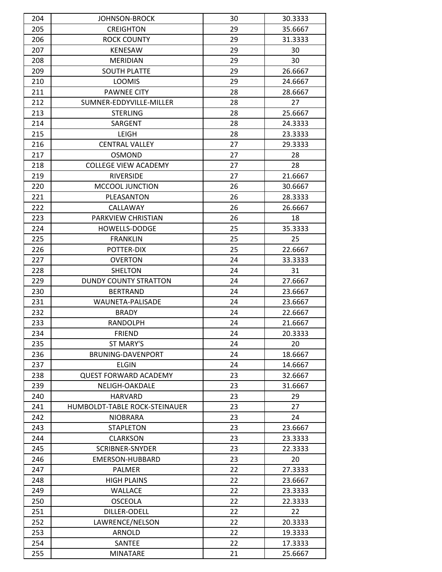| 204 | <b>JOHNSON-BROCK</b>          | 30 | 30.3333 |
|-----|-------------------------------|----|---------|
| 205 | <b>CREIGHTON</b>              | 29 | 35.6667 |
| 206 | <b>ROCK COUNTY</b>            | 29 | 31.3333 |
| 207 | <b>KENESAW</b>                | 29 | 30      |
| 208 | <b>MERIDIAN</b>               | 29 | 30      |
| 209 | <b>SOUTH PLATTE</b>           | 29 | 26.6667 |
| 210 | <b>LOOMIS</b>                 | 29 | 24.6667 |
| 211 | <b>PAWNEE CITY</b>            | 28 | 28.6667 |
| 212 | SUMNER-EDDYVILLE-MILLER       | 28 | 27      |
| 213 | <b>STERLING</b>               | 28 | 25.6667 |
| 214 | SARGENT                       | 28 | 24.3333 |
| 215 | LEIGH                         | 28 | 23.3333 |
| 216 | <b>CENTRAL VALLEY</b>         | 27 | 29.3333 |
| 217 | <b>OSMOND</b>                 | 27 | 28      |
| 218 | <b>COLLEGE VIEW ACADEMY</b>   | 27 | 28      |
| 219 | <b>RIVERSIDE</b>              | 27 | 21.6667 |
| 220 | <b>MCCOOL JUNCTION</b>        | 26 | 30.6667 |
| 221 | PLEASANTON                    | 26 | 28.3333 |
| 222 | CALLAWAY                      | 26 | 26.6667 |
| 223 | PARKVIEW CHRISTIAN            | 26 | 18      |
| 224 | <b>HOWELLS-DODGE</b>          | 25 | 35.3333 |
| 225 | <b>FRANKLIN</b>               | 25 | 25      |
| 226 | POTTER-DIX                    | 25 | 22.6667 |
| 227 | <b>OVERTON</b>                | 24 | 33.3333 |
| 228 | <b>SHELTON</b>                | 24 | 31      |
| 229 | DUNDY COUNTY STRATTON         | 24 | 27.6667 |
|     |                               |    |         |
| 230 | <b>BERTRAND</b>               | 24 | 23.6667 |
| 231 | WAUNETA-PALISADE              | 24 | 23.6667 |
| 232 | <b>BRADY</b>                  | 24 | 22.6667 |
| 233 | <b>RANDOLPH</b>               | 24 | 21.6667 |
| 234 | <b>FRIEND</b>                 | 24 | 20.3333 |
| 235 | ST MARY'S                     | 24 | 20      |
| 236 | BRUNING-DAVENPORT             | 24 | 18.6667 |
| 237 | <b>ELGIN</b>                  | 24 | 14.6667 |
| 238 | <b>QUEST FORWARD ACADEMY</b>  | 23 | 32.6667 |
| 239 | NELIGH-OAKDALE                | 23 | 31.6667 |
| 240 | <b>HARVARD</b>                | 23 | 29      |
| 241 | HUMBOLDT-TABLE ROCK-STEINAUER | 23 | 27      |
| 242 | <b>NIOBRARA</b>               | 23 | 24      |
| 243 | <b>STAPLETON</b>              | 23 | 23.6667 |
| 244 | <b>CLARKSON</b>               | 23 | 23.3333 |
| 245 | <b>SCRIBNER-SNYDER</b>        | 23 | 22.3333 |
| 246 | EMERSON-HUBBARD               | 23 | 20      |
| 247 | <b>PALMER</b>                 | 22 | 27.3333 |
| 248 | <b>HIGH PLAINS</b>            | 22 | 23.6667 |
| 249 | <b>WALLACE</b>                | 22 | 23.3333 |
| 250 | <b>OSCEOLA</b>                | 22 | 22.3333 |
| 251 | DILLER-ODELL                  | 22 | 22      |
| 252 | LAWRENCE/NELSON               | 22 | 20.3333 |
| 253 | ARNOLD                        | 22 | 19.3333 |
| 254 | SANTEE                        | 22 | 17.3333 |
| 255 | <b>MINATARE</b>               | 21 | 25.6667 |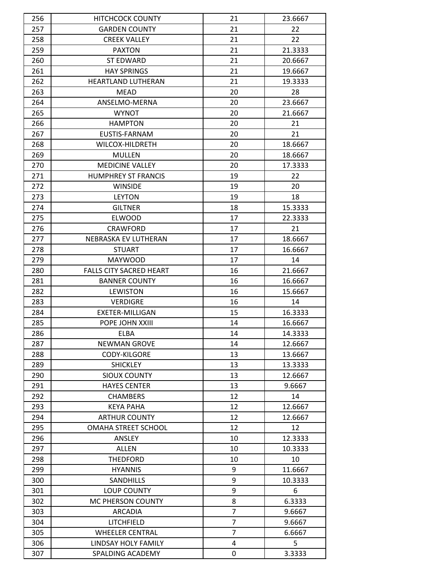| 256 | <b>HITCHCOCK COUNTY</b>        | 21             | 23.6667 |
|-----|--------------------------------|----------------|---------|
| 257 | <b>GARDEN COUNTY</b>           | 21             | 22      |
| 258 | <b>CREEK VALLEY</b>            | 21             | 22      |
| 259 | <b>PAXTON</b>                  | 21             | 21.3333 |
| 260 | <b>ST EDWARD</b>               | 21             | 20.6667 |
| 261 | <b>HAY SPRINGS</b>             | 21             | 19.6667 |
| 262 | <b>HEARTLAND LUTHERAN</b>      | 21             | 19.3333 |
| 263 | <b>MEAD</b>                    | 20             | 28      |
| 264 | ANSELMO-MERNA                  | 20             | 23.6667 |
| 265 | <b>WYNOT</b>                   | 20             | 21.6667 |
| 266 | <b>HAMPTON</b>                 | 20             | 21      |
| 267 | EUSTIS-FARNAM                  | 20             | 21      |
| 268 | WILCOX-HILDRETH                | 20             | 18.6667 |
| 269 | <b>MULLEN</b>                  | 20             | 18.6667 |
| 270 | <b>MEDICINE VALLEY</b>         | 20             | 17.3333 |
| 271 | <b>HUMPHREY ST FRANCIS</b>     | 19             | 22      |
| 272 | <b>WINSIDE</b>                 | 19             | 20      |
| 273 | <b>LEYTON</b>                  | 19             | 18      |
| 274 | <b>GILTNER</b>                 | 18             | 15.3333 |
| 275 | <b>ELWOOD</b>                  | 17             | 22.3333 |
| 276 | <b>CRAWFORD</b>                | 17             | 21      |
| 277 | NEBRASKA EV LUTHERAN           | 17             | 18.6667 |
| 278 | <b>STUART</b>                  | 17             | 16.6667 |
| 279 | <b>MAYWOOD</b>                 | 17             | 14      |
| 280 | <b>FALLS CITY SACRED HEART</b> | 16             | 21.6667 |
| 281 | <b>BANNER COUNTY</b>           | 16             | 16.6667 |
| 282 | <b>LEWISTON</b>                | 16             | 15.6667 |
| 283 | <b>VERDIGRE</b>                | 16             | 14      |
| 284 | <b>EXETER-MILLIGAN</b>         | 15             | 16.3333 |
| 285 | POPE JOHN XXIII                | 14             | 16.6667 |
| 286 | ELBA                           | 14             | 14.3333 |
| 287 | <b>NEWMAN GROVE</b>            | 14             | 12.6667 |
| 288 | CODY-KILGORE                   | 13             | 13.6667 |
| 289 | <b>SHICKLEY</b>                | 13             | 13.3333 |
| 290 | <b>SIOUX COUNTY</b>            | 13             | 12.6667 |
| 291 | <b>HAYES CENTER</b>            | 13             | 9.6667  |
| 292 | <b>CHAMBERS</b>                | 12             | 14      |
| 293 | KEYA PAHA                      | 12             | 12.6667 |
| 294 | <b>ARTHUR COUNTY</b>           | 12             | 12.6667 |
| 295 | <b>OMAHA STREET SCHOOL</b>     | 12             | 12      |
| 296 | ANSLEY                         | 10             | 12.3333 |
| 297 | ALLEN                          | 10             | 10.3333 |
| 298 | <b>THEDFORD</b>                | 10             | 10      |
| 299 | <b>HYANNIS</b>                 | 9              | 11.6667 |
| 300 | SANDHILLS                      | 9              | 10.3333 |
| 301 | <b>LOUP COUNTY</b>             | 9              | 6       |
| 302 | MC PHERSON COUNTY              | 8              | 6.3333  |
| 303 | ARCADIA                        | 7              | 9.6667  |
| 304 | LITCHFIELD                     | 7              | 9.6667  |
| 305 | <b>WHEELER CENTRAL</b>         | $\overline{7}$ | 6.6667  |
| 306 | LINDSAY HOLY FAMILY            | 4              | 5       |
| 307 | SPALDING ACADEMY               | 0              | 3.3333  |
|     |                                |                |         |